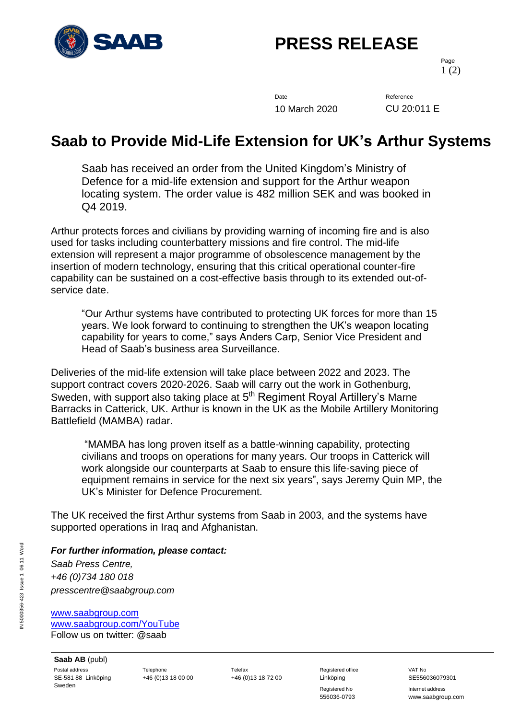

## **PRESS RELEASE**

Page 1 (2)

Date Reference 10 March 2020 CU 20:011 E

## **Saab to Provide Mid-Life Extension for UK's Arthur Systems**

Saab has received an order from the United Kingdom's Ministry of Defence for a mid-life extension and support for the Arthur weapon locating system. The order value is 482 million SEK and was booked in Q4 2019.

Arthur protects forces and civilians by providing warning of incoming fire and is also used for tasks including counterbattery missions and fire control. The mid-life extension will represent a major programme of obsolescence management by the insertion of modern technology, ensuring that this critical operational counter-fire capability can be sustained on a cost-effective basis through to its extended out-ofservice date.

"Our Arthur systems have contributed to protecting UK forces for more than 15 years. We look forward to continuing to strengthen the UK's weapon locating capability for years to come," says Anders Carp, Senior Vice President and Head of Saab's business area Surveillance.

Deliveries of the mid-life extension will take place between 2022 and 2023. The support contract covers 2020-2026. Saab will carry out the work in Gothenburg, Sweden, with support also taking place at 5<sup>th</sup> Regiment Royal Artillery's Marne Barracks in Catterick, UK. Arthur is known in the UK as the Mobile Artillery Monitoring Battlefield (MAMBA) radar.

"MAMBA has long proven itself as a battle-winning capability, protecting civilians and troops on operations for many years. Our troops in Catterick will work alongside our counterparts at Saab to ensure this life-saving piece of equipment remains in service for the next six years", says Jeremy Quin MP, the UK's Minister for Defence Procurement.

The UK received the first Arthur systems from Saab in 2003, and the systems have supported operations in Iraq and Afghanistan.

## *For further information, please contact:*

*Saab Press Centre, +46 (0)734 180 018 presscentre@saabgroup.com*

[www.saabgroup.com](http://www.saabgroup.com/) [www.saabgroup.com/YouTube](http://www.saabgroup.com/YouTube) Follow us on twitter: @saab

**Saab AB** (publ) Postal address **Telephone** Telephone Telefax Telefax Registered office VAT No SE-581 88 Linköping Sweden

+46 (0)13 18 00 00 +46 (0)13 18 72 00 Linköping SE556036079301

Registered No **Internet address** 556036-0793 www.saabgroup.com